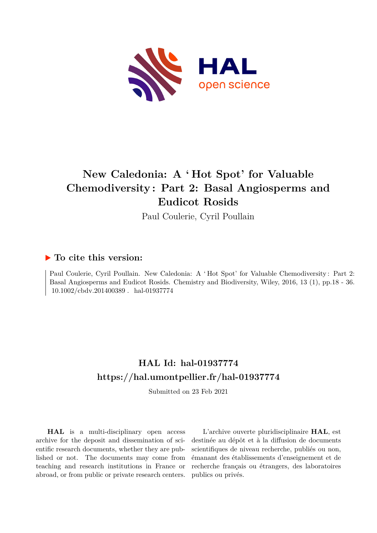

# **New Caledonia: A ' Hot Spot' for Valuable Chemodiversity : Part 2: Basal Angiosperms and Eudicot Rosids**

Paul Coulerie, Cyril Poullain

### **To cite this version:**

Paul Coulerie, Cyril Poullain. New Caledonia: A ' Hot Spot' for Valuable Chemodiversity: Part 2: Basal Angiosperms and Eudicot Rosids. Chemistry and Biodiversity, Wiley, 2016, 13 (1), pp.18 - 36. 10.1002/cbdv.201400389. hal-01937774

## **HAL Id: hal-01937774 <https://hal.umontpellier.fr/hal-01937774>**

Submitted on 23 Feb 2021

**HAL** is a multi-disciplinary open access archive for the deposit and dissemination of scientific research documents, whether they are published or not. The documents may come from teaching and research institutions in France or abroad, or from public or private research centers.

L'archive ouverte pluridisciplinaire **HAL**, est destinée au dépôt et à la diffusion de documents scientifiques de niveau recherche, publiés ou non, émanant des établissements d'enseignement et de recherche français ou étrangers, des laboratoires publics ou privés.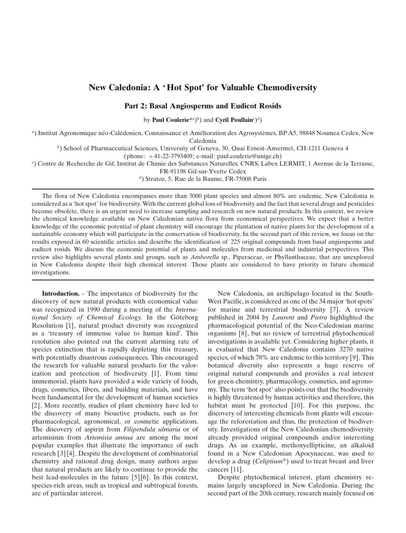### New Caledonia: A 'Hot Spot' for Valuable Chemodiversity

#### Part 2: Basal Angiosperms and Eudicot Rosids

by Paul Coulerie<sup>\*a</sup>)<sup>b</sup>) and Cyril Poullain<sup>c</sup>)<sup>d</sup>)

<sup>a</sup>) Institut Agronomique néo-Calédonien, Connaissance et Amélioration des Agrosystèmes, BP A5, 98848 Noumea Cedex, New Caledonia

<sup>b</sup>) School of Pharmaceutical Sciences, University of Geneva, 30, Quai Ernest-Ansermet, CH-1211 Geneva 4

 $(phone: +41-22-3793409; e-mail: paul.coulerie@unige.ch)$ 

c ) Centre de Recherche de Gif, Institut de Chimie des Substances Naturelles, CNRS, Labex LERMIT,1Avenue de la Terrasse,

FR-91198 Gif-sur-Yvette Cedex

<sup>d</sup>) Stratoz, 5, Rue de la Baume, FR-75008 Paris

The flora of New Caledonia encompasses more than 3000 plant species and almost 80% are endemic. New Caledonia is considered as a 'hot spot' for biodiversity. With the current global loss of biodiversity and the fact that several drugs and pesticides become obsolete, there is an urgent need to increase sampling and research on new natural products. In this context, we review the chemical knowledge available on New Caledonian native flora from economical perspectives. We expect that a better knowledge of the economic potential of plant chemistry will encourage the plantation of native plants for the development of a sustainable economy which will participate in the conservation of biodiversity. In the second part of this review, we focus on the results exposed in 60 scientific articles and describe the identification of 225 original compounds from basal angiosperms and eudicot rosids. We discuss the economic potential of plants and molecules from medicinal and industrial perspectives. This review also highlights several plants and groups, such as Amborella sp., Piperaceae, or Phyllanthaceae, that are unexplored in New Caledonia despite their high chemical interest. Those plants are considered to have priority in future chemical investigations.

Introduction. – The importance of biodiversity for the discovery of new natural products with economical value was recognized in 1990 during a meeting of the International Society of Chemical Ecology. In the Göteborg Resolution [1], natural product diversity was recognized as a 'treasury of immense value to human kind'. This resolution also pointed out the current alarming rate of species extinction that is rapidly depleting this treasury, with potentially disastrous consequences. This encouraged the research for valuable natural products for the valorization and protection of biodiversity [1]. From time immemorial, plants have provided a wide variety of foods, drugs, cosmetics, fibers, and building materials, and have been fundamental for the development of human societies [2]. More recently, studies of plant chemistry have led to the discovery of many bioactive products, such as for pharmacological, agronomical, or cosmetic applications. The discovery of aspirin from Filipendula ulmaria or of artemisinin from Artemisia annua are among the most popular examples that illustrate the importance of such research [3] [4]. Despite the development of combinatorial chemistry and rational drug design, many authors argue that natural products are likely to continue to provide the best lead-molecules in the future [5] [6]. In this context, species-rich areas, such as tropical and subtropical forests, are of particular interest.

New Caledonia, an archipelago located in the South-West Pacific, is considered as one of the 34 major 'hot spots' for marine and terrestrial biodiversity [7]. A review published in 2004 by Laurent and Pietra highlighted the pharmacological potential of the Neo-Caledonian marine organisms [8], but no review of terrestrial phytochemical investigations is available yet. Considering higher plants, it is evaluated that New Caledonia contains 3270 native species, of which 78% are endemic to this territory [9]. This botanical diversity also represents a huge reserve of original natural compounds and provides a real interest for green chemistry, pharmacology, cosmetics, and agronomy. The term 'hot spot' also points out that the biodiversity is highly threatened by human activities and therefore, this habitat must be protected [10]. For this purpose, the discovery of interesting chemicals from plants will encourage the reforestation and thus, the protection of biodiversity. Investigations of the New Caledonian chemodiversity already provided original compounds and/or interesting drugs. As an example, methoxyellipticine, an alkaloid found in a New Caledonian Apocynaceae, was used to develop a drug (*Celiptium®*) used to treat breast and liver cancers [11].

Despite phytochemical interest, plant chemistry remains largely unexplored in New Caledonia. During the second part of the 20th century, research mainly focused on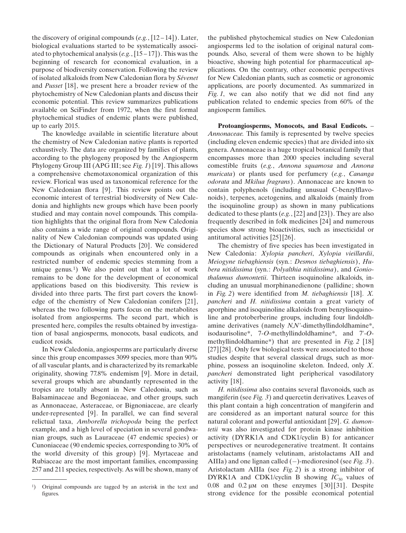the discovery of original compounds  $(e.g., [12-14])$ . Later, biological evaluations started to be systematically associated to phytochemical analysis  $(e.g., [15-17])$ . This was the beginning of research for economical evaluation, in a purpose of biodiversity conservation. Following the review of isolated alkaloids from New Caledonian flora by Sévenet and Pusset [18], we present here a broader review of the phytochemistry of New Caledonian plants and discuss their economic potential. This review summarizes publications available on SciFinder from 1972, when the first formal phytochemical studies of endemic plants were published, up to early 2015.

The knowledge available in scientific literature about the chemistry of New Caledonian native plants is reported exhaustively. The data are organized by families of plants, according to the phylogeny proposed by the Angiosperm Phylogeny Group III (APG III; see Fig. 1) [19]. This allows a comprehensive chemotaxonomical organization of this review. Florical was used as taxonomical reference for the New Caledonian flora [9]. This review points out the economic interest of terrestrial biodiversity of New Caledonia and highlights new groups which have been poorly studied and may contain novel compounds. This compilation highlights that the original flora from New Caledonia also contains a wide range of original compounds. Originality of New Caledonian compounds was updated using the Dictionary of Natural Products [20]. We considered compounds as originals when encountered only in a restricted number of endemic species stemming from a unique genus.<sup>1</sup>) We also point out that a lot of work remains to be done for the development of economical applications based on this biodiversity. This review is divided into three parts. The first part covers the knowledge of the chemistry of New Caledonian conifers [21], whereas the two following parts focus on the metabolites isolated from angiosperms. The second part, which is presented here, compiles the results obtained by investigation of basal angiosperms, monocots, basal eudicots, and eudicot rosids.

In New Caledonia, angiosperms are particularly diverse since this group encompasses 3099 species, more than 90% of all vascular plants, and is characterized by its remarkable originality, showing 77.8% endemism [9]. More in detail, several groups which are abundantly represented in the tropics are totally absent in New Caledonia, such as Balsaminaceae and Begoniaceae, and other groups, such as Annonaceae, Asteraceae, or Bignoniaceae, are clearly under-represented [9]. In parallel, we can find several relictual taxa, Amborella trichopoda being the perfect example, and a high level of speciation in several gondwanian groups, such as Lauraceae (47 endemic species) or Cunoniaceae (90 endemic species, corresponding to 30% of the world diversity of this group) [9]. Myrtaceae and Rubiaceae are the most important families, encompassing 257 and 211 species, respectively. As will be shown, many of the published phytochemical studies on New Caledonian angiosperms led to the isolation of original natural compounds. Also, several of them were shown to be highly bioactive, showing high potential for pharmaceutical applications. On the contrary, other economic perspectives for New Caledonian plants, such as cosmetic or agronomic applications, are poorly documented. As summarized in Fig. 1, we can also notify that we did not find any publication related to endemic species from 60% of the angiosperm families.

Protoangiosperms, Monocots, and Basal Eudicots. – Annonaceae. This family is represented by twelve species (including eleven endemic species) that are divided into six genera. Annonaceae is a huge tropical botanical family that encompasses more than 2000 species including several comestible fruits (e.g., Annona squamosa and Annona muricata) or plants used for perfumery (e.g., Cananga odorata and Mkilua fragrans). Annonaceae are known to contain polyphenols (including unusual C-benzylflavonoids), terpenes, acetogenins, and alkaloids (mainly from the isoquinoline group) as shown in many publications dedicated to these plants  $(e.g., [22] \text{ and } [23])$ . They are also frequently described in folk medicines [24] and numerous species show strong bioactivities, such as insecticidal or antitumoral activities [25] [26].

The chemistry of five species has been investigated in New Caledonia: Xylopia pancheri, Xylopia vieillardii, Meiogyne tiebaghiensis (syn.: Desmos tiebaghiensis), Hubera nitidissima (syn.: Polyalthia nitidissima), and Goniothalamus dumontetii. Thirteen isoquinoline alkaloids, including an unusual morphinanedienone (pallidine; shown in Fig. 2) were identified from M. tiebaghiensis [18]. X. pancheri and H. nitidissima contain a great variety of aporphine and isoquinoline alkaloids from benzylisoquinoline and protoberberine groups, including four lindoldhamine derivatives (namely  $N, N'$ -dimethyllindoldhamine\*, isodaurisoline\*, 7-O-methyllindoldhamine\*, and 7'-Omethyllindoldhamine\*) that are presented in Fig. 2 [18] [27] [28]. Only few biological tests were associated to those studies despite that several classical drugs, such as morphine, possess an isoquinoline skeleton. Indeed, only X. pancheri demonstrated light peripherical vasodilatory activity [18].

H. nitidissima also contains several flavonoids, such as mangiferin (see Fig. 3) and quercetin derivatives. Leaves of this plant contain a high concentration of mangiferin and are considered as an important natural source for this natural colorant and powerful antioxidant [29]. G. dumontetii was also investigated for protein kinase inhibition activity (DYRK1A and CDK1/cyclin B) for anticancer perspectives or neurodegenerative treatment. It contains aristolactams (namely velutinam, aristolactams AII and AIIIa) and one lignan called  $(-)$ -medioresinol (see Fig. 3). Aristolactam AIIIa (see Fig. 2) is a strong inhibitor of DYRK1A and CDK1/cyclin B showing  $IC_{50}$  values of 0.08 and 0.2  $\mu$ m on these enzymes [30][31]. Despite strong evidence for the possible economical potential

<sup>1</sup>) Original compounds are tagged by an asterisk in the text and figures.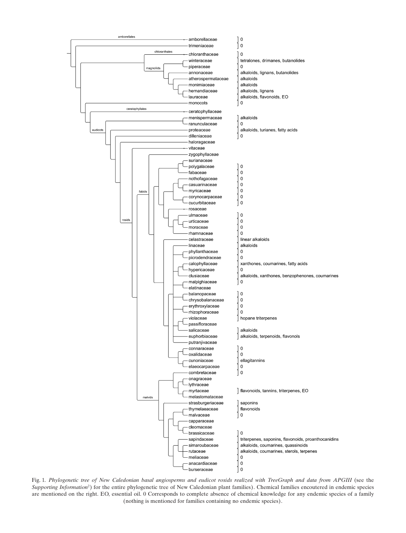

Fig. 1. Phylogenetic tree of New Caledonian basal angiosperms and eudicot rosids realized with TreeGraph and data from APGIII (see the Supporting Information<sup>2</sup>) for the entire phylogenetic tree of New Caledonian plant families). Chemical families encoutered in endemic species are mentioned on the right. EO, essential oil. 0 Corresponds to complete absence of chemical knowledge for any endemic species of a family (nothing is mentioned for families containing no endemic species).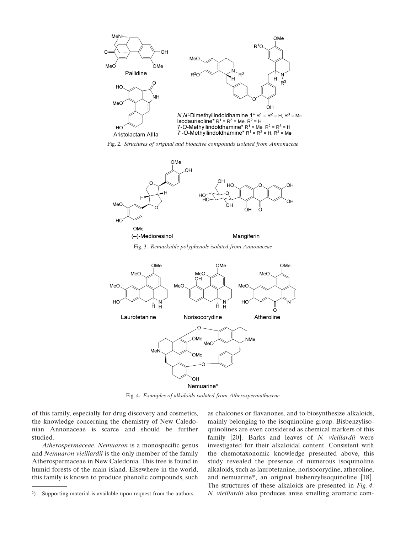

Fig. 2. Structures of original and bioactive compounds isolated from Annonaceae



Fig. 3. Remarkable polyphenols isolated from Annonaceae



Fig. 4. Examples of alkaloids isolated from Atherospermathaceae

of this family, especially for drug discovery and cosmetics, the knowledge concerning the chemistry of New Caledonian Annonaceae is scarce and should be further studied.

Atherospermaceae. Nemuaron is a monospecific genus and Nemuaron vieillardii is the only member of the family Atherospermaceae in New Caledonia. This tree is found in humid forests of the main island. Elsewhere in the world, this family is known to produce phenolic compounds, such as chalcones or flavanones, and to biosynthesize alkaloids, mainly belonging to the isoquinoline group. Bisbenzylisoquinolines are even considered as chemical markers of this family [20]. Barks and leaves of N. vieillardii were investigated for their alkaloidal content. Consistent with the chemotaxonomic knowledge presented above, this study revealed the presence of numerous isoquinoline alkaloids, such as laurotetanine, norisocorydine, atheroline, and nemuarine\*, an original bisbenzylisoquinoline [18]. The structures of these alkaloids are presented in Fig. 4. N. vieillardii also produces anise smelling aromatic com-

<sup>2</sup>) Supporting material is available upon request from the authors.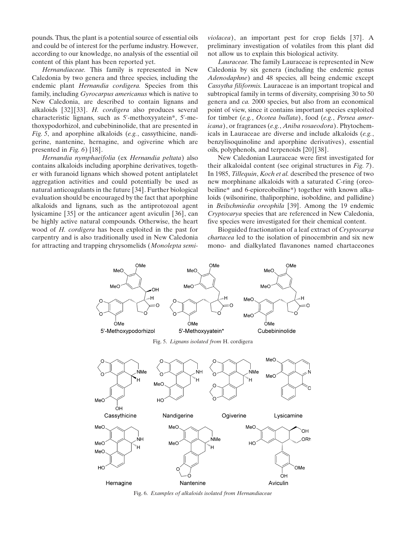pounds. Thus, the plant is a potential source of essential oils and could be of interest for the perfume industry. However, according to our knowledge, no analysis of the essential oil content of this plant has been reported yet.

Hernandiaceae. This family is represented in New Caledonia by two genera and three species, including the endemic plant Hernandia cordigera. Species from this family, including Gyrocarpus americanus which is native to New Caledonia, are described to contain lignans and alkaloids [32][33]. H. cordigera also produces several characteristic lignans, such as 5'-methoxyyatein\*, 5'-methoxypodorhizol, and cubebininolide, that are presented in Fig. 5, and aporphine alkaloids (e.g., cassythicine, nandigerine, nantenine, hernagine, and ogiverine which are presented in *Fig.* 6) [18].

Hernandia nymphaeifolia (ex Hernandia peltata) also contains alkaloids including aporphine derivatives, together with furanoid lignans which showed potent antiplatelet aggregation activities and could potentially be used as natural anticoagulants in the future [34]. Further biological evaluation should be encouraged by the fact that aporphine alkaloids and lignans, such as the antiprotozoal agent lysicamine [35] or the anticancer agent aviculin [36], can be highly active natural compounds. Otherwise, the heart wood of H. cordigera has been exploited in the past for carpentry and is also traditionally used in New Caledonia for attracting and trapping chrysomelids (Monolepta semi-

violacea), an important pest for crop fields [37]. A preliminary investigation of volatiles from this plant did not allow us to explain this biological activity.

Lauraceae. The family Lauraceae is represented in New Caledonia by six genera (including the endemic genus Adenodaphne) and 48 species, all being endemic except Cassytha filiformis. Lauraceae is an important tropical and subtropical family in terms of diversity, comprising 30 to 50 genera and ca. 2000 species, but also from an economical point of view, since it contains important species exploited for timber (e.g., Ocotea bullata), food (e.g., Persea americana), or fragrances (e.g., Aniba rosaeodora). Phytochemicals in Lauraceae are diverse and include alkaloids (e.g., benzylisoquinoline and aporphine derivatives), essential oils, polyphenols, and terpenoids [20] [38].

New Caledonian Lauraceae were first investigated for their alkaloidal content (see original structures in Fig. 7). In 1985, Tillequin, Koch et al. described the presence of two new morphinane alkaloids with a saturated C-ring (oreobeiline\* and 6-epioreobeiline\*) together with known alkaloids (wilsonirine, thaliporphine, isoboldine, and pallidine) in Beilschmiedia oreophila [39]. Among the 19 endemic Cryptocarya species that are referenced in New Caledonia, five species were investigated for their chemical content.

Bioguided fractionation of a leaf extract of Cryptocarya chartacea led to the isolation of pinocembrin and six new mono- and dialkylated flavanones named chartaceones



Fig. 6. Examples of alkaloids isolated from Hernandiaceae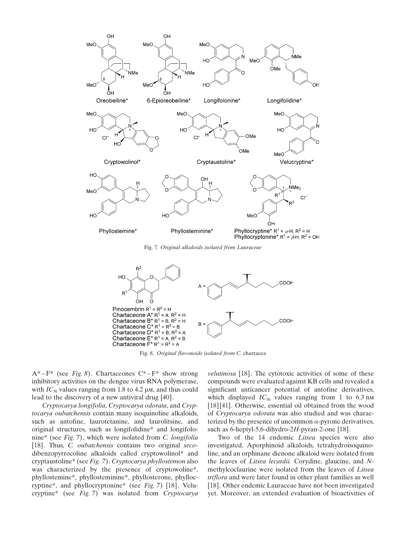

Fig. 7. Original alkaloids isolated from Lauraceae



Fig. 8. Original flavonoids isolated from C. chartacea

 $A^*$ – $F^*$  (see *Fig. 8*). Chartaceones  $C^*$ – $F^*$  show strong inhibitory activities on the dengue virus RNA polymerase, with  $IC_{50}$  values ranging from 1.8 to 4.2  $\mu$ M, and thus could lead to the discovery of a new antiviral drug [40].

Cryptocarya longifolia, Cryptocarya odorata, and Cryptocarya oubatchensis contain many isoquinoline alkaloids, such as antofine, laurotetanine, and laurolitsine, and original structures, such as longifolidine\* and longifolonine\* (see Fig. 7), which were isolated from C. longifolia [18]. Thus, *C. oubatchensis* contains two original secodibenzopyrrocoline alkaloids called cryptowolinol\* and cryptaustoline\* (see Fig. 7). Cryptocarya phyllostemon also was characterized by the presence of cryptowoline\*, phyllostemine\*, phyllosteminine\*, phyllosterone, phyllocryptine\*, and phyllocryptonine\* (see Fig. 7) [18]. Velucryptine\* (see Fig. 7) was isolated from Cryptocarya

velutinosa [18]. The cytotoxic activities of some of these compounds were evaluated against KB cells and revealed a significant anticancer potential of antofine derivatives, which displayed  $IC_{50}$  values ranging from 1 to 6.3 nm [18] [41]. Otherwise, essential oil obtained from the wood of Cryptocarya odorata was also studied and was characterized by the presence of uncommon  $\alpha$ -pyrone derivatives, such as 6-heptyl-5,6-dihydro-2H-pyran-2-one [18].

Two of the 14 endemic Litsea species were also investigated. Aporphinoid alkaloids, tetrahydroisoquinoline, and an orphinane dienone alkaloid were isolated from the leaves of Litsea lecardii. Corydine, glaucine, and Nmethylcoclaurine were isolated from the leaves of Litsea triflora and were later found in other plant families as well [18]. Other endemic Lauraceae have not been investigated yet. Moreover, an extended evaluation of bioactivities of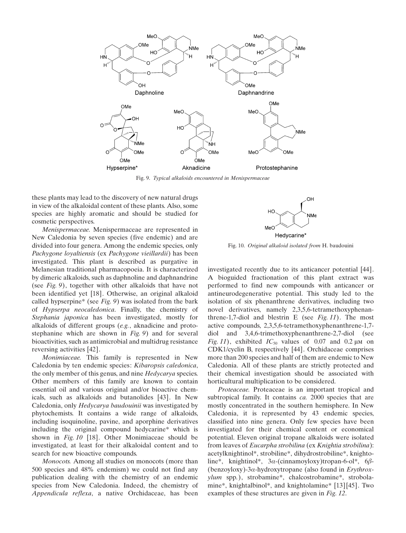

Fig. 9. Typical alkaloids encountered in Menispermaceae

these plants may lead to the discovery of new natural drugs in view of the alkaloidal content of these plants. Also, some species are highly aromatic and should be studied for cosmetic perspectives.

Menispermaceae. Menispermaceae are represented in New Caledonia by seven species (five endemic) and are divided into four genera. Among the endemic species, only Pachygone loyaltiensis (ex Pachygone vieillardii) has been investigated. This plant is described as purgative in Melanesian traditional pharmacopoeia. It is characterized by dimeric alkaloids, such as daphnoline and daphnandrine (see Fig. 9), together with other alkaloids that have not been identified yet [18]. Otherwise, an original alkaloid called hypserpine\* (see Fig. 9) was isolated from the bark of Hypserpa neocaledonica. Finally, the chemistry of Stephania japonica has been investigated, mostly for alkaloids of different groups (e.g., aknadicine and protostephanine which are shown in Fig. 9) and for several bioactivities, such as antimicrobial and multidrug resistance reversing activities [42].

Monimiaceae. This family is represented in New Caledonia by ten endemic species: Kibaropsis caledonica, the only member of this genus, and nine Hedycarya species. Other members of this family are known to contain essential oil and various original and/or bioactive chemicals, such as alkaloids and butanolides [43]. In New Caledonia, only Hedycarya baudouinii was investigated by phytochemists. It contains a wide range of alkaloids, including isoquinoline, pavine, and aporphine derivatives including the original compound hedycarine\* which is shown in Fig. 10 [18]. Other Monimiaceae should be investigated, at least for their alkaloidal content and to search for new bioactive compounds.

Monocots. Among all studies on monocots (more than 500 species and 48% endemism) we could not find any publication dealing with the chemistry of an endemic species from New Caledonia. Indeed, the chemistry of Appendicula reflexa, a native Orchidaceae, has been



Fig. 10. Original alkaloid isolated from H. baudouini

investigated recently due to its anticancer potential [44]. A bioguided fractionation of this plant extract was performed to find new compounds with anticancer or antineurodegenerative potential. This study led to the isolation of six phenanthrene derivatives, including two novel derivatives, namely 2,3,5,6-tetramethoxyphenanthrene-1,7-diol and blestrin E (see Fig. 11). The most active compounds, 2,3,5,6-tetramethoxyphenanthrene-1,7 diol and 3,4,6-trimethoxyphenanthrene-2,7-diol (see Fig. 11), exhibited  $IC_{50}$  values of 0.07 and 0.2  $\mu$ M on CDK1/cyclin B, respectively [44]. Orchidaceae comprises more than 200 species and half of them are endemic to New Caledonia. All of these plants are strictly protected and their chemical investigation should be associated with horticultural multiplication to be considered.

Proteaceae. Proteaceae is an important tropical and subtropical family. It contains *ca*. 2000 species that are mostly concentrated in the southern hemisphere. In New Caledonia, it is represented by 43 endemic species, classified into nine genera. Only few species have been investigated for their chemical content or economical potential. Eleven original tropane alkaloids were isolated from leaves of Eucarpha strobilina (ex Knightia strobilina): acetylknightinol\*, strobiline\*, dihydrostrobiline\*, knightoline\*, knightinol\*,  $3\alpha$ -(cinnamoyloxy)tropan-6-ol\*, 6 $\beta$ -(benzoyloxy)-3 $\alpha$ -hydroxytropane (also found in *Erythrox*ylum spp.), strobamine\*, chalcostrobamine\*, strobolamine\*, knightalbinol\*, and knightolamine\* [13] [45]. Two examples of these structures are given in Fig. 12.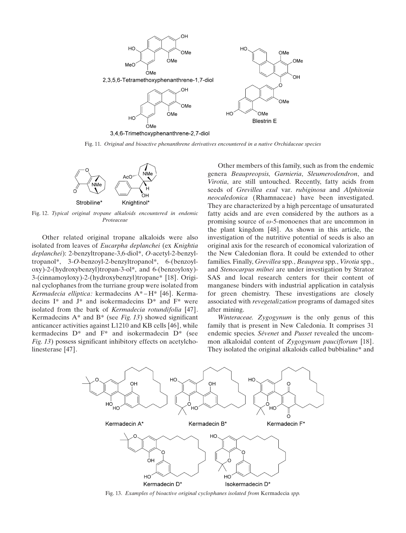

Fig. 11. Original and bioactive phenanthrene derivatives encountered in a native Orchidaceae species



Fig. 12. Typical original tropane alkaloids encountered in endemic Proteaceae

Other related original tropane alkaloids were also isolated from leaves of Eucarpha deplanchei (ex Knightia deplanchei): 2-benzyltropane-3,6-diol\*, O-acetyl-2-benzyltropanol\*, 3-O-benzoyl-2-benzyltropanol\*, 6-(benzoyloxy)-2-(hydroxybenzyl)tropan-3-ol\*, and 6-(benzoyloxy)- 3-(cinnamoyloxy)-2-(hydroxybenzyl)tropane\* [18]. Original cyclophanes from the turriane group were isolated from Kermadecia elliptica: kermadecins A\* – H\* [46]. Kermadecins I\* and J\* and isokermadecins D\* and F\* were isolated from the bark of Kermadecia rotundifolia [47]. Kermadecins  $A^*$  and  $B^*$  (see *Fig. 13*) showed significant anticancer activities against L1210 and KB cells [46], while kermadecins  $D^*$  and  $F^*$  and isokermadecin  $D^*$  (see Fig. 13) possess significant inhibitory effects on acetylcholinesterase [47].

Other members of this family, such as from the endemic genera Beaupreopsis, Garnieria, Sleumerodendron, and Virotia, are still untouched. Recently, fatty acids from seeds of Grevillea exul var. rubiginosa and Alphitonia neocaledonica (Rhamnaceae) have been investigated. They are characterized by a high percentage of unsaturated fatty acids and are even considered by the authors as a promising source of  $\omega$ -5-monoenes that are uncommon in the plant kingdom [48]. As shown in this article, the investigation of the nutritive potential of seeds is also an original axis for the research of economical valorization of the New Caledonian flora. It could be extended to other families. Finally, Grevillea spp., Beauprea spp., Virotia spp., and Stenocarpus milnei are under investigation by Stratoz SAS and local research centers for their content of manganese binders with industrial application in catalysis for green chemistry. These investigations are closely associated with revegetalization programs of damaged sites after mining.

Winteraceae. Zygogynum is the only genus of this family that is present in New Caledonia. It comprises 31 endemic species. Sévenet and Pusset revealed the uncommon alkaloidal content of Zygogynum pauciflorum [18]. They isolated the original alkaloids called bubbialine\* and



Fig. 13. Examples of bioactive original cyclophanes isolated from Kermadecia spp.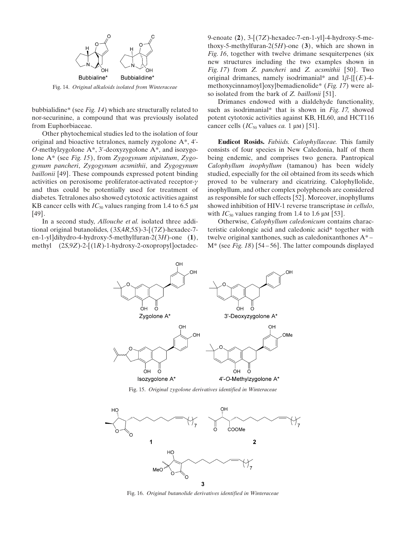

Fig. 14. Original alkaloids isolated from Winteraceae

bubbialidine\* (see Fig. 14) which are structurally related to nor-securinine, a compound that was previously isolated from Euphorbiaceae.

Other phytochemical studies led to the isolation of four original and bioactive tetralones, namely zygolone A\*, 4'- O-methylzygolone A\*, 3'-deoxyzygolone A\*, and isozygolone  $A^*$  (see Fig. 15), from Zygogynum stipitatum, Zygogynum pancheri, Zygogynum acsmithii, and Zygogynum baillonii [49]. These compounds expressed potent binding activities on peroxisome proliferator-activated receptor-g and thus could be potentially used for treatment of diabetes. Tetralones also showed cytotoxic activities against KB cancer cells with  $IC_{50}$  values ranging from 1.4 to 6.5  $\mu$ M [49].

In a second study, Allouche et al. isolated three additional original butanolides, (3S,4R,5S)-3-[(7Z)-hexadec-7 en-1-yl]dihydro-4-hydroxy-5-methylfuran-2(3H)-one  $(1)$ , methyl  $(2S, 9Z)$ -2- $[(1R)$ -1-hydroxy-2-oxopropyl]octadec9-enoate (2), 3-[(7Z)-hexadec-7-en-1-yl]-4-hydroxy-5-methoxy-5-methylfuran-2(5H)-one  $(3)$ , which are shown in Fig. 16, together with twelve drimane sesquiterpenes (six new structures including the two examples shown in Fig. 17) from Z. pancheri and Z. acsmithii [50]. Two original drimanes, namely isodrimanial\* and  $1\beta$ -{ $[(E)$ -4methoxycinnamoyl]oxy}bemadienolide\* (Fig. 17) were also isolated from the bark of Z. baillonii [51].

Drimanes endowed with a dialdehyde functionality, such as isodrimanial\* that is shown in Fig. 17, showed potent cytotoxic activities against KB, HL60, and HCT116 cancer cells  $(IC_{50}$  values *ca*. 1  $\mu$ m) [51].

Eudicot Rosids. Fabiids. Calophyllaceae. This family consists of four species in New Caledonia, half of them being endemic, and comprises two genera. Pantropical Calophyllum inophyllum (tamanou) has been widely studied, especially for the oil obtained from its seeds which proved to be vulnerary and cicatrizing. Calophyllolide, inophyllum, and other complex polyphenols are considered as responsible for such effects [52]. Moreover, inophyllums showed inhibition of HIV-1 reverse transcriptase in cellulo, with  $IC_{50}$  values ranging from 1.4 to 1.6  $\mu$ M [53].

Otherwise, Calophyllum caledonicum contains characteristic calolongic acid and caledonic acid\* together with twelve original xanthones, such as caledonixanthones A\* – M\* (see Fig. 18) [54 – 56]. The latter compounds displayed



Fig. 15. Original zygolone derivatives identified in Winteraceae



Fig. 16. Original butanolide derivatives identified in Winteraceae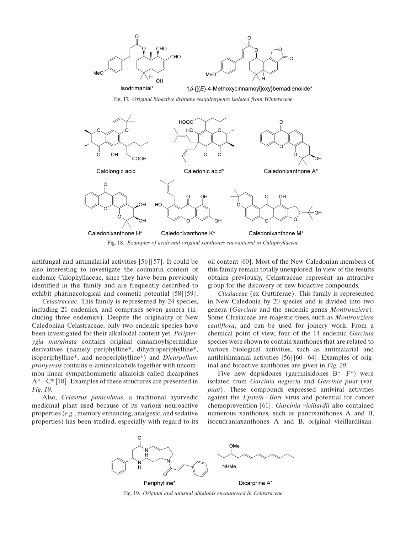

Fig. 17. Original bioactive drimane sesquiterpenes isolated from Winteraceae



antifungal and antimalarial activities [56][57]. It could be also interesting to investigate the coumarin content of endemic Calophyllaceae, since they have been previously identified in this family and are frequently described to exhibit pharmacological and cosmetic potential [58][59].

Celastraceae. This family is represented by 24 species, including 21 endemics, and comprises seven genera (including three endemics). Despite the originality of New Caledonian Celastraceae, only two endemic species have been investigated for their alkaloidal content yet. Peripterygia marginata contains original cinnamoylspermidine derivatives (namely periphylline\*, dihydroperiphylline\*, isoperiphylline\*, and neoperiphylline\*) and Dicarpellum *pronyensis* contains  $\alpha$ -aminoalcohols together with uncommon linear sympathomimetic alkaloids called dicarprines  $A^*$  –  $C^*$  [18]. Examples of these structures are presented in Fig. 19.

Also, Celastrus paniculatus, a traditional ayurvedic medicinal plant used because of its various neuroactive properties (e.g., memory enhancing, analgesic, and sedative properties) has been studied, especially with regard to its

oil content [60]. Most of the New Caledonian members of this family remain totally unexplored. In view of the results obtains previously, Celastraceae represent an attractive group for the discovery of new bioactive compounds.

Clusiaceae (ex Guttiferae). This family is represented in New Caledonia by 20 species and is divided into two genera (Garcinia and the endemic genus Montrouziera). Some Clusiaceae are majestic trees, such as Montrouziera cauliflora, and can be used for joinery work. From a chemical point of view, four of the 14 endemic Garcinia species were shown to contain xanthones that are related to various biological activities, such as antimalarial and antileishmanial activities  $[56][60-64]$ . Examples of original and bioactive xanthones are given in Fig. 20.

Five new depsidones (garcinisidones  $B^* - F^*$ ) were isolated from Garcinia neglecta and Garcinia puat (var. puat). These compounds expressed antiviral activities against the Epstein – Barr virus and potential for cancer chemoprevention [61]. Garcinia vieillardii also contained numerous xanthones, such as pancixanthones A and B, isocudraniaxanthones A and B, original vieillardiixan-



Fig. 19. Original and unusual alkaloids encountered in Celastraceae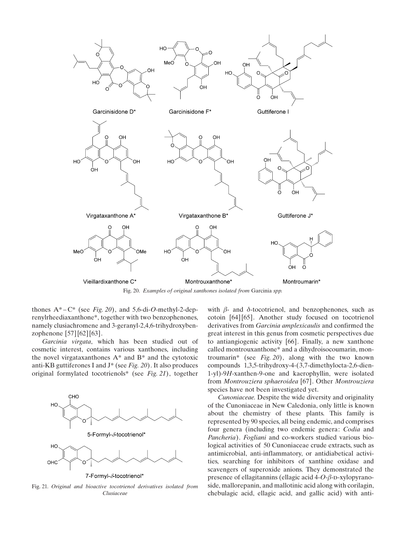

Fig. 20. Examples of original xanthones isolated from Garcinia spp.

thones  $A^*$  –  $C^*$  (see *Fig. 20*), and 5,6-di-*O*-methyl-2-deprenylrheediaxanthone\*, together with two benzophenones, namely clusiachromene and 3-geranyl-2,4,6-trihydroxybenzophenone [57][62] [63].

Garcinia virgata, which has been studied out of cosmetic interest, contains various xanthones, including the novel virgataxanthones A\* and B\* and the cytotoxic anti-KB guttiferones I and  $J^*$  (see Fig. 20). It also produces original formylated tocotrienols\* (see Fig. 21), together



Fig. 21. Original and bioactive tocotrienol derivatives isolated from Clusiaceae

with  $\beta$ - and  $\delta$ -tocotrienol, and benzophenones, such as cotoin [64] [65]. Another study focused on tocotrienol derivatives from Garcinia amplexicaulis and confirmed the great interest in this genus from cosmetic perspectives due to antiangiogenic activity [66]. Finally, a new xanthone called montrouxanthone\* and a dihydroisocoumarin, montroumarin\* (see Fig. 20), along with the two known compounds 1,3,5-trihydroxy-4-(3,7-dimethylocta-2,6-dien-1-yl)-9H-xanthen-9-one and kaerophyllin, were isolated from Montrouziera sphaeroidea [67]. Other Montrouziera species have not been investigated yet.

Cunoniaceae. Despite the wide diversity and originality of the Cunoniaceae in New Caledonia, only little is known about the chemistry of these plants. This family is represented by 90 species, all being endemic, and comprises four genera (including two endemic genera: Codia and Pancheria). Fogliani and co-workers studied various biological activities of 50 Cunoniaceae crude extracts, such as antimicrobial, anti-inflammatory, or antidiabetical activities, searching for inhibitors of xanthine oxidase and scavengers of superoxide anions. They demonstrated the presence of ellagitannins (ellagic acid  $4-O$ - $\beta$ -D-xylopyranoside, mallorepanin, and mallotinic acid along with corilagin, chebulagic acid, ellagic acid, and gallic acid) with anti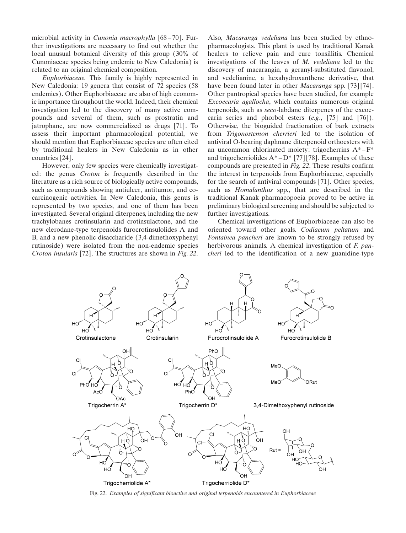microbial activity in Cunonia macrophylla [68 – 70]. Further investigations are necessary to find out whether the local unusual botanical diversity of this group (30% of Cunoniaceae species being endemic to New Caledonia) is related to an original chemical composition.

Euphorbiaceae. This family is highly represented in New Caledonia: 19 genera that consist of 72 species (58 endemics). Other Euphorbiaceae are also of high economic importance throughout the world. Indeed, their chemical investigation led to the discovery of many active compounds and several of them, such as prostratin and jatrophane, are now commercialized as drugs [71]. To assess their important pharmacological potential, we should mention that Euphorbiaceae species are often cited by traditional healers in New Caledonia as in other countries [24].

However, only few species were chemically investigated: the genus Croton is frequently described in the literature as a rich source of biologically active compounds, such as compounds showing antiulcer, antitumor, and cocarcinogenic activities. In New Caledonia, this genus is represented by two species, and one of them has been investigated. Several original diterpenes, including the new trachylobanes crotinsularin and crotinsulactone, and the new clerodane-type terpenoids furocrotinsulolides A and B, and a new phenolic disaccharide (3,4-dimethoxyphenyl rutinoside) were isolated from the non-endemic species Croton insularis [72]. The structures are shown in Fig. 22.

Also, Macaranga vedeliana has been studied by ethnopharmacologists. This plant is used by traditional Kanak healers to relieve pain and cure tonsillitis. Chemical investigations of the leaves of M. vedeliana led to the discovery of macarangin, a geranyl-substituted flavonol, and vedelianine, a hexahydroxanthene derivative, that have been found later in other *Macaranga* spp. [73] [74]. Other pantropical species have been studied, for example Excoecaria agallocha, which contains numerous original terpenoids, such as seco-labdane diterpenes of the excoecarin series and phorbol esters  $(e.g., [75]$  and  $[76]$ ). Otherwise, the bioguided fractionation of bark extracts from Trigonostemon cherrieri led to the isolation of antiviral O-bearing daphnane diterpenoid orthoesters with an uncommon chlorinated moiety: trigocherrins A\* – F\* and trigocherriolides  $A^* - D^*$  [77] [78]. Examples of these compounds are presented in Fig. 22. These results confirm the interest in terpenoids from Euphorbiaceae, especially for the search of antiviral compounds [71]. Other species, such as *Homalanthus* spp., that are described in the traditional Kanak pharmacopoeia proved to be active in preliminary biological screening and should be subjected to further investigations.

Chemical investigations of Euphorbiaceae can also be oriented toward other goals. Codiaeum peltatum and Fontainea pancheri are known to be strongly refused by herbivorous animals. A chemical investigation of  $F$ . pancheri led to the identification of a new guanidine-type



Fig. 22. Examples of significant bioactive and original terpenoids encountered in Euphorbiaceae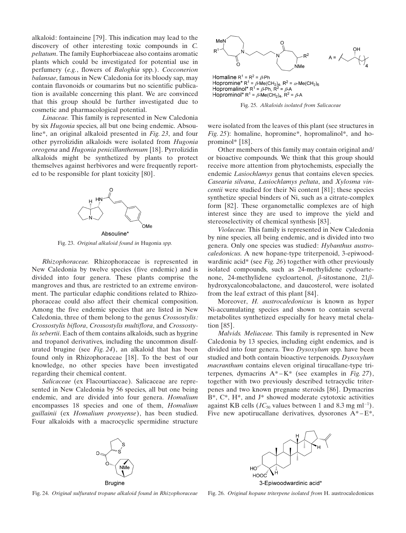alkaloid: fontaineine [79]. This indication may lead to the discovery of other interesting toxic compounds in C. peltatum. The family Euphorbiaceae also contains aromatic plants which could be investigated for potential use in perfumery (e.g., flowers of Baloghia spp.). Cocconerion balansae, famous in New Caledonia for its bloody sap, may contain flavonoids or coumarins but no scientific publication is available concerning this plant. We are convinced that this group should be further investigated due to cosmetic and pharmacological potential.

Linaceae. This family is represented in New Caledonia by six Hugonia species, all but one being endemic. Absouline\*, an original alkaloid presented in Fig. 23, and four other pyrrolizidin alkaloids were isolated from Hugonia oreogena and Hugonia penicillanthemum [18]. Pyrrolizidin alkaloids might be synthetized by plants to protect themselves against herbivores and were frequently reported to be responsible for plant toxicity [80].



Fig. 23. Original alkaloid found in Hugonia spp.

Rhizophoraceae. Rhizophoraceae is represented in New Caledonia by twelve species (five endemic) and is divided into four genera. These plants comprise the mangroves and thus, are restricted to an extreme environment. The particular edaphic conditions related to Rhizophoraceae could also affect their chemical composition. Among the five endemic species that are listed in New Caledonia, three of them belong to the genus Crossostylis: Crossostylis biflora, Crossostylis multiflora, and Crossostylis sebertii. Each of them contains alkaloids, such as hygrine and tropanol derivatives, including the uncommon disulfurated brugine (see Fig. 24), an alkaloid that has been found only in Rhizophoraceae [18]. To the best of our knowledge, no other species have been investigated regarding their chemical content.

Salicaceae (ex Flacourtiaceae). Salicaceae are represented in New Caledonia by 56 species, all but one being endemic, and are divided into four genera. Homalium encompasses 18 species and one of them, Homalium guillainii (ex Homalium pronyense), has been studied. Four alkaloids with a macrocyclic spermidine structure



Homaline  $R^1 = R^2 = \beta$ -Ph Hopromine\*  $R^1 = \beta M e (CH_2)_4$ ,  $R^2 = \alpha M e (CH_2)_6$ <br>Hopromalinol\*  $R^1 = \beta P$ h,  $R^2 = \beta P$ A Hoprominol\*  $R^1 = \beta M e(CH_2)_4$ ,  $R^2 = \beta A$ 

Fig. 25. Alkaloids isolated from Salicaceae

were isolated from the leaves of this plant (see structures in Fig. 25): homaline, hopromine\*, hopromalinol\*, and hoprominol\* [18].

Other members of this family may contain original and/ or bioactive compounds. We think that this group should receive more attention from phytochemists, especially the endemic Lasiochlamys genus that contains eleven species. Casearia silvana, Lasiochlamys peltata, and Xylosma vincentii were studied for their Ni content [81]; these species synthetize special binders of Ni, such as a citrate-complex form [82]. These organometallic complexes are of high interest since they are used to improve the yield and stereoselectivity of chemical synthesis [83].

Violaceae. This family is represented in New Caledonia by nine species, all being endemic, and is divided into two genera. Only one species was studied: Hybanthus austrocaledonicus. A new hopane-type triterpenoid, 3-epiwoodwardinic acid\* (see  $Fig. 26$ ) together with other previously isolated compounds, such as 24-methylidene cycloartenone, 24-methylidene cycloartenol,  $\beta$ -sitostanone, 21 $\beta$ hydroxycaloncobalactone, and daucosterol, were isolated from the leaf extract of this plant [84].

Moreover, H. austrocaledonicus is known as hyper Ni-accumulating species and shown to contain several metabolites synthetized especially for heavy metal chelation [85].

Malvids. Meliaceae. This family is represented in New Caledonia by 13 species, including eight endemics, and is divided into four genera. Two Dysoxylum spp. have been studied and both contain bioactive terpenoids. Dysoxylum macranthum contains eleven original tirucallane-type triterpenes, dymacrins  $A^*-K^*$  (see examples in Fig. 27), together with two previously described tetracyclic triterpenes and two known pregnane steroids [86]. Dymacrins  $B^*$ ,  $C^*$ ,  $H^*$ , and  $J^*$  showed moderate cytotoxic activities against KB cells ( $IC_{50}$  values between 1 and 8.3 mg ml<sup>-1</sup>). Five new apotirucallane derivatives, dysorones  $A^*$  –  $E^*$ ,



**Brugine** 



3-Epiwoodwardinic acid\*

Fig. 24. Original sulfurated tropane alkaloid found in Rhizophoraceae

Fig. 26. Original hopane triterpene isolated from H. austrocaledonicus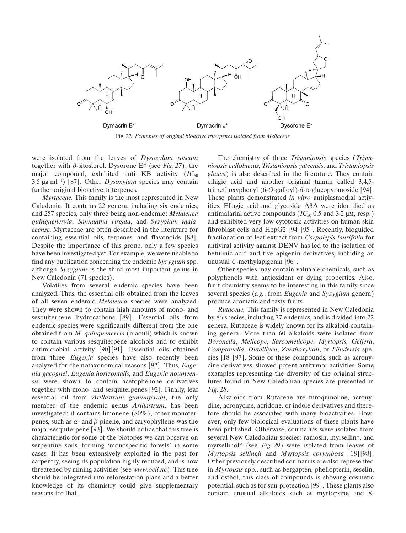

Fig. 27. Examples of original bioactive triterpenes isolated from Meliaceae

were isolated from the leaves of Dysoxylum roseum together with  $\beta$ -sitosterol. Dysorone E\* (see Fig. 27), the major compound, exhibited anti KB activity  $(IC_{50})$ 3.5  $\mu$ g ml<sup>-1</sup>) [87]. Other *Dysoxylum* species may contain further original bioactive triterpenes.

Myrtaceae. This family is the most represented in New Caledonia. It contains 22 genera, including six endemics, and 257 species, only three being non-endemic: Melaleuca quinquenervia, Sannantha virgata, and Syzygium malaccense. Myrtaceae are often described in the literature for containing essential oils, terpenes, and flavonoids [88]. Despite the importance of this group, only a few species have been investigated yet. For example, we were unable to find any publication concerning the endemic Syzygium spp. although Syzygium is the third most important genus in New Caledonia (71 species).

Volatiles from several endemic species have been analyzed. Thus, the essential oils obtained from the leaves of all seven endemic Melaleuca species were analyzed. They were shown to contain high amounts of mono- and sesquiterpene hydrocarbons [89]. Essential oils from endemic species were significantly different from the one obtained from M. quinquenervia (niaouli) which is known to contain various sesquiterpene alcohols and to exhibit antimicrobial activity [90] [91]. Essential oils obtained from three Eugenia species have also recently been analyzed for chemotaxonomical reasons [92]. Thus, Eugenia gacognei, Eugenia horizontalis, and Eugenia noumeensis were shown to contain acetophenone derivatives together with mono- and sesquiterpenes [92]. Finally, leaf essential oil from Arillastrum gummiferum, the only member of the endemic genus Arillastrum, has been investigated: it contains limonene (80%), other monoterpenes, such as  $\alpha$ - and  $\beta$ -pinene, and caryophyllene was the major sesquiterpene [93]. We should notice that this tree is characteristic for some of the biotopes we can observe on serpentine soils, forming 'monospecific forests' in some cases. It has been extensively exploited in the past for carpentry, seeing its population highly reduced, and is now threatened by mining activities (see www.oeil.nc). This tree should be integrated into reforestation plans and a better knowledge of its chemistry could give supplementary reasons for that.

The chemistry of three Tristaniopsis species (Tristaniopsis callobuxus, Tristaniopsis yateensis, and Tristaniopsis glauca) is also described in the literature. They contain ellagic acid and another original tannin called 3,4,5 trimethoxyphenyl (6-O-galloyl)- $\beta$ -D-glucopyranoside [94]. These plants demonstrated in vitro antiplasmodial activities. Ellagic acid and glycoside A3A were identified as antimalarial active compounds ( $IC_{50}$  0.5 and 3.2  $\mu$ M, resp.) and exhibited very low cytotoxic activities on human skin fibroblast cells and HepG2 [94] [95]. Recently, bioguided fractionation of leaf extract from Carpolepis laurifolia for antiviral activity against DENV has led to the isolation of betulinic acid and five apigenin derivatives, including an unusual C-methylapigenin [96].

Other species may contain valuable chemicals, such as polyphenols with antioxidant or dying properties. Also, fruit chemistry seems to be interesting in this family since several species (e.g., from Eugenia and Syzygium genera) produce aromatic and tasty fruits.

Rutaceae. This family is represented in New Caledonia by 86 species, including 77 endemics, and is divided into 22 genera. Rutaceae is widely known for its alkaloid-containing genera. More than 60 alkaloids were isolated from Boronella, Melicope, Sarcomelicope, Myrtopsis, Geijera, Comptonella, Dutaillyea, Zanthoxylum, or Flindersia species [18] [97]. Some of these compounds, such as acronycine derivatives, showed potent antitumor activities. Some examples representing the diversity of the original structures found in New Caledonian species are presented in Fig. 28.

Alkaloids from Rutaceae are furoquinoline, acronydine, acronycine, acridone, or indole derivatives and therefore should be associated with many bioactivities. However, only few biological evaluations of these plants have been published. Otherwise, coumarins were isolated from several New Caledonian species: ramosin, myrsellin\*, and myrsellinol\* (see Fig. 29) were isolated from leaves of Myrtopsis sellingii and Myrtopsis corymbosa [18] [98]. Other previously described coumarins are also represented in Myrtopsis spp., such as bergapten, phellopterin, seselin, and osthol, this class of compounds is showing cosmetic potential, such as for sun-protection [99]. These plants also contain unusual alkaloids such as myrtopsine and 8-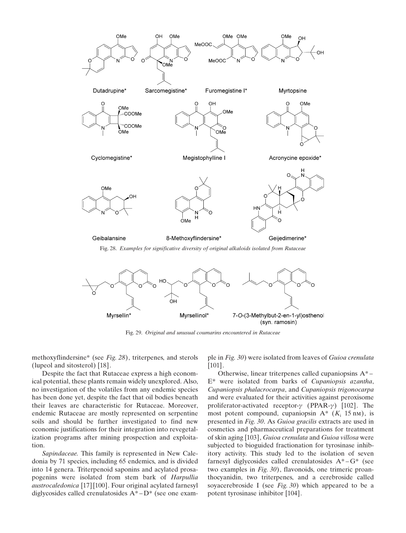

Fig. 28. Examples for significative diversity of original alkaloids isolated from Rutaceae



Fig. 29. Original and unusual coumarins encountered in Rutaceae

methoxyflindersine\* (see Fig. 28), triterpenes, and sterols (lupeol and sitosterol) [18].

Despite the fact that Rutaceae express a high economical potential, these plants remain widely unexplored. Also, no investigation of the volatiles from any endemic species has been done yet, despite the fact that oil bodies beneath their leaves are characteristic for Rutaceae. Moreover, endemic Rutaceae are mostly represented on serpentine soils and should be further investigated to find new economic justifications for their integration into revegetalization programs after mining prospection and exploitation.

Sapindaceae. This family is represented in New Caledonia by 71 species, including 65 endemics, and is divided into 14 genera. Triterpenoid saponins and acylated prosapogenins were isolated from stem bark of Harpullia austrocaledonica [17] [100]. Four original acylated farnesyl diglycosides called crenulatosides  $A^*$  –  $D^*$  (see one exam-

ple in Fig. 30) were isolated from leaves of Guioa crenulata [101].

Otherwise, linear triterpenes called cupaniopsins  $A^*$  – E\* were isolated from barks of Cupaniopsis azantha, Cupaniopsis phalacrocarpa, and Cupaniopsis trigonocarpa and were evaluated for their activities against peroxisome proliferator-activated receptor- $\gamma$  (PPAR- $\gamma$ ) [102]. The most potent compound, cupaniopsin  $A^*$  ( $K_i$  15 nm), is presented in Fig. 30. As Guioa gracilis extracts are used in cosmetics and pharmaceutical preparations for treatment of skin aging [103], Guioa crenulata and Guioa villosa were subjected to bioguided fractionation for tyrosinase inhibitory activity. This study led to the isolation of seven farnesyl diglycosides called crenulatosides  $A^* - G^*$  (see two examples in Fig. 30), flavonoids, one trimeric proanthocyanidin, two triterpenes, and a cerebroside called soyacerebroside I (see Fig.  $30$ ) which appeared to be a potent tyrosinase inhibitor [104].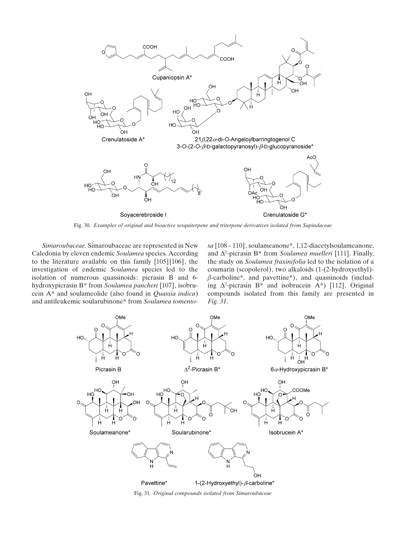

Fig. 30. Examples of original and bioactive sesquiterpene and triterpene derivatives isolated from Sapindaceae

Simaroubaceae. Simaroubaceae are represented in New Caledonia by eleven endemic Soulamea species. According to the literature available on this family [105] [106], the investigation of endemic Soulamea species led to the isolation of numerous quassinoids: picrasin B and 6 hydroxypicrasin B\* from Soulamea pancheri [107], isobrucein A\* and soulameolide (also found in Quassia indica) and antileukemic soularubinone\* from Soulamea tomentosa [108 – 110], soulameanone\*, 1,12-diacetylsoulameanone, and  $\Delta^2$ -picrasin B\* from Soulamea muelleri [111]. Finally, the study on Soulamea fraxinifolia led to the isolation of a coumarin (scopolerol), two alkaloids (1-(2-hydroxyethyl)-  $\beta$ -carboline\*, and pavettine\*), and quassinoids (including  $\Delta^2$ -picrasin B\* and isobrucein A\*) [112]. Original compounds isolated from this family are presented in Fig. 31.



Fig. 31. Original compounds isolated from Simaroubaceae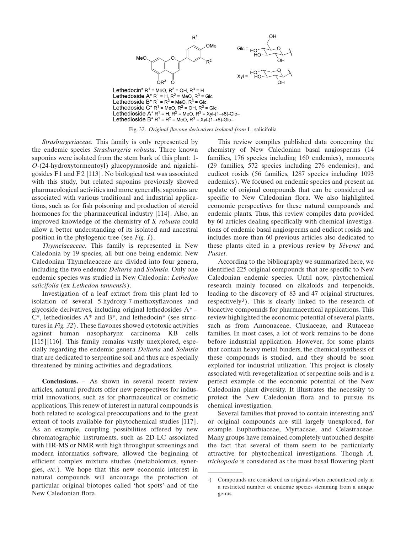

Fig. 32. Original flavone derivatives isolated from L. salicifolia

Strasburgeriaceae. This family is only represented by the endemic species Strasburgeria robusta. Three known saponins were isolated from the stem bark of this plant: 1- O-(24-hydroxytormentoyl) glucopyranoside and nigaichigosides F1 and F2 [113]. No biological test was associated with this study, but related saponins previously showed pharmacological activities and more generally, saponins are associated with various traditional and industrial applications, such as for fish poisoning and production of steroid hormones for the pharmaceutical industry [114]. Also, an improved knowledge of the chemistry of S. robusta could allow a better understanding of its isolated and ancestral position in the phylogenic tree (see Fig. 1).

Thymelaeaceae. This family is represented in New Caledonia by 19 species, all but one being endemic. New Caledonian Thymelaeaceae are divided into four genera, including the two endemic *Deltaria* and *Solmsia*. Only one endemic species was studied in New Caledonia: Lethedon salicifolia (ex Lethedon tannensis).

Investigation of a leaf extract from this plant led to isolation of several 5-hydroxy-7-methoxyflavones and glycoside derivatives, including original lethedosides A\* –  $C^*$ , lethediosides  $A^*$  and  $B^*$ , and lethedocin<sup>\*</sup> (see structures in Fig. 32). These flavones showed cytotoxic activities against human nasopharynx carcinoma KB cells [115] [116]. This family remains vastly unexplored, especially regarding the endemic genera Deltaria and Solmsia that are dedicated to serpentine soil and thus are especially threatened by mining activities and degradations.

Conclusions. – As shown in several recent review articles, natural products offer new perspectives for industrial innovations, such as for pharmaceutical or cosmetic applications. This renew of interest in natural compounds is both related to ecological preoccupations and to the great extent of tools available for phytochemical studies [117]. As an example, coupling possibilities offered by new chromatographic instruments, such as 2D-LC associated with HR-MS or NMR with high throughput screenings and modern informatics software, allowed the beginning of efficient complex mixture studies (metabolomics, synergies, etc.). We hope that this new economic interest in natural compounds will encourage the protection of particular original biotopes called 'hot spots' and of the New Caledonian flora.

This review compiles published data concerning the chemistry of New Caledonian basal angiosperms (14 families, 176 species including 160 endemics), monocots (29 families, 572 species including 276 endemics), and eudicot rosids (56 families, 1287 species including 1093 endemics). We focused on endemic species and present an update of original compounds that can be considered as specific to New Caledonian flora. We also highlighted economic perspectives for these natural compounds and endemic plants. Thus, this review compiles data provided by 60 articles dealing specifically with chemical investigations of endemic basal angiosperms and eudicot rosids and includes more than 60 previous articles also dedicated to these plants cited in a previous review by Sévenet and Pusset.

According to the bibliography we summarized here, we identified 225 original compounds that are specific to New Caledonian endemic species. Until now, phytochemical research mainly focused on alkaloids and terpenoids, leading to the discovery of 83 and 47 original structures, respectively<sup>3</sup>). This is clearly linked to the research of bioactive compounds for pharmaceutical applications. This review highlighted the economic potential of several plants, such as from Annonaceae, Clusiaceae, and Rutaceae families. In most cases, a lot of work remains to be done before industrial application. However, for some plants that contain heavy metal binders, the chemical synthesis of these compounds is studied, and they should be soon exploited for industrial utilization. This project is closely associated with revegetalization of serpentine soils and is a perfect example of the economic potential of the New Caledonian plant diversity. It illustrates the necessity to protect the New Caledonian flora and to pursue its chemical investigation.

Several families that proved to contain interesting and/ or original compounds are still largely unexplored, for example Euphorbiaceae, Myrtaceae, and Celastraceae. Many groups have remained completely untouched despite the fact that several of them seem to be particularly attractive for phytochemical investigations. Though A. trichopoda is considered as the most basal flowering plant

<sup>3</sup>) Compounds are considered as originals when encountered only in a restricted number of endemic species stemming from a unique genus.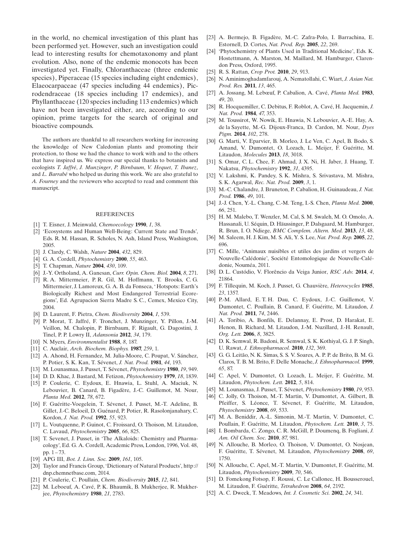in the world, no chemical investigation of this plant has been performed yet. However, such an investigation could lead to interesting results for chemotaxonomy and plant evolution. Also, none of the endemic monocots has been investigated yet. Finally, Chloranthaceae (three endemic species), Piperaceae (15 species including eight endemics), Elaeocarpaceae (47 species including 44 endemics), Picrodendraceae (18 species including 17 endemics), and Phyllanthaceae (120 species including 113 endemics) which have not been investigated either, are, according to our opinion, prime targets for the search of original and bioactive compounds.

The authors are thankful to all researchers working for increasing the knowledge of New Caledonian plants and promoting their protection, to those we had the chance to work with and to the others that have inspired us. We express our special thanks to botanists and ecologists T. Jaffré, J. Munzinger, P. Birnbaum, V. Hequet, T. Ibanez, and L. Barrabé who helped us during this work. We are also grateful to A. Fourney and the reviewers who accepted to read and comment this manuscript.

#### REFERENCES

- [1] T. Eisner, J. Meinwald, *Chemoecology* **1990**, *1*, 38.
- [2] 'Ecosystems and Human Well-Being: Current State and Trends', Eds. R. M. Hassan, R. Scholes, N. Ash, Island Press, Washington, 2005.
- [3] J. Clardy, C. Walsh, Nature 2004, 432, 829.
- [4] G. A. Cordell, *Phytochemistry* **2000**, 55, 463.
- [5] T. Chapman, Nature 2004, 430, 109.
- [6] J.-Y. Ortholand, A. Ganesan, Curr. Opin. Chem. Biol. 2004, 8, 271.
- [7] R. A. Mittermeier, P. R. Gil, M. Hoffmann, T. Brooks, C. G. Mittermeier, J. Lamoreux, G. A. B. da Fonseca, 'Hotspots: Earth's Biologically Richest and Most Endangered Terrestrial Ecoregions', Ed. Agrupacion Sierra Madre S. C., Cemex, Mexico City, 2004.
- [8] D. Laurent, F. Pietra, Chem. Biodiversity 2004, 1, 539.
- [9] P. Morat, T. Jaffré, F. Tronchet, J. Munzinger, Y. Pillon, J.-M. Veillon, M. Chalopin, P. Birnbaum, F. Rigault, G. Dagostini, J. Tinel, P. P. Lowry II, Adansonia 2012, 34, 179.
- [10] N. Myers, Environmentalist 1988, 8, 187.
- [11] C. Auclair, Arch. Biochem. Biophys. 1987, 259, 1.
- [12] A. Ahond, H. Fernandez, M. Julia-Moore, C. Poupat, V. Sánchez, P. Potier, S. K. Kan, T. Sévenet, J. Nat. Prod. 1981, 44, 193.
- [13] M. Lounasmaa, J. Pusset, T. Sévenet, Phytochemistry 1980, 19, 949.
- [14] D. D. Khac, J. Bastard, M. Fetizon, *Phytochemistry* 1979, 18, 1839.
- [15] P. Coulerie, C. Eydoux, E. Hnawia, L. Stuhl, A. Maciuk, N. Lebouvier, B. Canard, B. Figadère, J.-C. Guillemot, M. Nour, Planta Med. 2012, 78, 672.
- [16] F. Guéritte-Voegelein, T. Sévenet, J. Pusset, M.-T. Adeline, B. Gillet, J.-C. Beloeil, D. Guénard, P. Potier, R. Rasolonjanahary, C. Kordon, J. Nat. Prod. 1992, 55, 923.
- [17] L. Voutquenne, P. Guinot, C. Froissard, O. Thoison, M. Litaudon, C. Lavaud, Phytochemistry 2005, 66, 825.
- [18] T. Sevenet, J. Pusset, in 'The Alkaloids: Chemistry and Pharmacology', Ed. G. A. Cordell, Academic Press, London, 1996, Vol. 48, pp. 1 – 73.
- [19] APG III, *Bot. J. Linn. Soc.* **2009**, 161, 105.
- [20] Taylor and Francis Group, 'Dictionary of Natural Products', http:// dnp.chemnetbase.com, 2014.
- [21] P. Coulerie, C. Poullain, Chem. Biodiversity 2015, 12, 841.
- [22] M. Leboeuf, A. Cavé, P. K. Bhaumik, B. Mukherjee, R. Mukherjee, Phytochemistry 1980, 21, 2783.
- [23] A. Bermejo, B. Figadère, M.-C. Zafra-Polo, I. Barrachina, E. Estornell, D. Cortes, Nat. Prod. Rep. 2005, 22, 269.
- [24] 'Phytochemistry of Plants Used in Traditional Medicine', Eds. K. Hostettmann, A. Marston, M. Maillard, M. Hamburger, Clarendon Press, Oxford, 1995.
- [25] R. S. Rattan, Crop Prot. **2010**, 29, 913.
- [26] N. Aminimoghadamfarouj, A. Nematollahi, C. Wiart, J. Asian Nat. Prod. Res. 2011, 13, 465.
- [27] A. Jossang, M. Lebœuf, P. Cabalion, A. Cavé, Planta Med. 1983, 49, 20.
- [28] R. Hocquemiller, C. Debitus, F. Roblot, A. Cavé, H. Jacquemin, J. Nat. Prod. 1984, 47, 353.
- [29] M. Toussirot, W. Nowik, E. Hnawia, N. Lebouvier, A.-E. Hay, A. de la Sayette, M.-G. Dijoux-Franca, D. Cardon, M. Nour, Dyes Pigm. 2014, 102, 278.
- [30] G. Marti, V. Eparvier, B. Morleo, J. Le Ven, C. Apel, B. Bodo, S. Amand, V. Dumontet, O. Lozach, L. Meijer, F. Guéritte, M. Litaudon, Molecules 2013, 18, 3018.
- [31] S. Omar, C. L. Chee, F. Ahmad, J. X. Ni, H. Jaber, J. Huang, T. Nakatsu, Phytochemistry 1992, 31, 4395.
- [32] V. Lakshmi, K. Pandey, S. K. Mishra, S. Srivastava, M. Mishra, S. K. Agarwal, Rec. Nat. Prod. 2009, 3, 1.
- [33] M.-C. Chalandre, J. Bruneton, P. Cabalion, H. Guinaudeau, J. Nat. Prod. 1986, 49, 101.
- [34] J.-J. Chen, Y.-L. Chang, C.-M. Teng, I.-S. Chen, Planta Med. 2000, 66, 251.
- [35] H. M. Malebo, T. Wenzler, M. Cal, S. M. Swaleh, M. O. Omolo, A. Hassanali, U. Séquin, D. Häussinger, P. Dalsgaard, M. Hamburger, R. Brun, I. O. Ndiege, BMC Complem. Altern. Med. 2013, 13, 48.
- [36] M. Saleem, H. J. Kim, M. S. Ali, Y. S. Lee, Nat. Prod. Rep. 2005, 22, 696.
- [37] C. Mille, 'Animaux nuisibles et utiles des jardins et vergers de Nouvelle-Calédonie', Société Entomologique de Nouvelle-Calédonie, Nouméa, 2011.
- [38] D. L. Custódio, V. Florêncio da Veiga Junior, RSC Adv. 2014, 4, 21864.
- [39] F. Tillequin, M. Koch, J. Pusset, G. Chauvière, Heterocycles 1985, 23, 1357.
- [40] P.-M. Allard, E. T. H. Dau, C. Eydoux, J.-C. Guillemot, V. Dumontet, C. Poullain, B. Canard, F. Guéritte, M. Litaudon, J. Nat. Prod. 2011, 74, 2446.
- [41] A. Toribio, A. Bonfils, E. Delannay, E. Prost, D. Harakat, E. Henon, B. Richard, M. Litaudon, J.-M. Nuzillard, J.-H. Renault, Org. Lett. 2006, 8, 3825.
- [42] D. K. Semwal, R. Badoni, R. Semwal, S. K. Kothiyal, G. J. P. Singh, U. Rawat, J. Ethnopharmacol. 2010, 132, 369.
- [43] G. G. Leitão, N. K. Simas, S. S. V. Soares, A. P. P. de Brito, B. M. G. Claros, T. B. M. Brito, F. Delle Monache, J. Ethnopharmacol. 1999, 65, 87.
- [44] C. Apel, V. Dumontet, O. Lozach, L. Meijer, F. Guéritte, M. Litaudon, Phytochem. Lett. 2012, 5, 814.
- [45] M. Lounasmaa, J. Pusset, T. Sévenet, *Phytochemistry* 1980, 19, 953.
- [46] C. Jolly, O. Thoison, M.-T. Martin, V. Dumontet, A. Gilbert, B. Pfeiffer, S. Léonce, T. Sévenet, F. Guéritte, M. Litaudon, Phytochemistry 2008, 69, 533.
- [47] M. A. Beniddir, A.-L. Simonin, M.-T. Martin, V. Dumontet, C. Poullain, F. Guéritte, M. Litaudon, Phytochem. Lett. 2010, 3, 75.
- [48] I. Bombarda, C. Zongo, C. R. McGill, P. Doumenq, B. Fogliani, J. Am. Oil Chem. Soc. 2010, 87, 981.
- [49] N. Allouche, B. Morleo, O. Thoison, V. Dumontet, O. Nosjean, F. Guéritte, T. Sévenet, M. Litaudon, Phytochemistry 2008, 69, 1750.
- [50] N. Allouche, C. Apel, M.-T. Martin, V. Dumontet, F. Guéritte, M. Litaudon, Phytochemistry 2009, 70, 546.
- [51] D. Fomekong Fotsop, F. Roussi, C. Le Callonec, H. Bousserouel, M. Litaudon, F. Guéritte, Tetrahedron 2008, 64, 2192.
- [52] A. C. Dweck, T. Meadows, *Int. J. Cosmetic Sci.* **2002**, 24, 341.